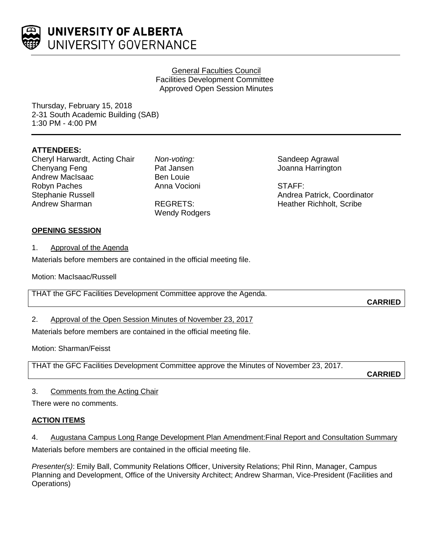

### General Faculties Council Facilities Development Committee Approved Open Session Minutes

Thursday, February 15, 2018 2-31 South Academic Building (SAB) 1:30 PM - 4:00 PM

# **ATTENDEES:**

Cheryl Harwardt, Acting Chair Chenyang Feng Andrew MacIsaac Robyn Paches Stephanie Russell Andrew Sharman

*Non-voting:* Pat Jansen Ben Louie Anna Vocioni

REGRETS: Wendy Rodgers

Sandeep Agrawal Joanna Harrington

STAFF: Andrea Patrick, Coordinator Heather Richholt, Scribe

## **OPENING SESSION**

1. Approval of the Agenda

Materials before members are contained in the official meeting file.

Motion: MacIsaac/Russell

THAT the GFC Facilities Development Committee approve the Agenda.

**CARRIED**

## 2. Approval of the Open Session Minutes of November 23, 2017

Materials before members are contained in the official meeting file.

Motion: Sharman/Feisst

THAT the GFC Facilities Development Committee approve the Minutes of November 23, 2017.

**CARRIED**

## 3. Comments from the Acting Chair

There were no comments.

## **ACTION ITEMS**

## 4. Augustana Campus Long Range Development Plan Amendment:Final Report and Consultation Summary

Materials before members are contained in the official meeting file.

*Presenter(s)*: Emily Ball, Community Relations Officer, University Relations; Phil Rinn, Manager, Campus Planning and Development, Office of the University Architect; Andrew Sharman, Vice-President (Facilities and Operations)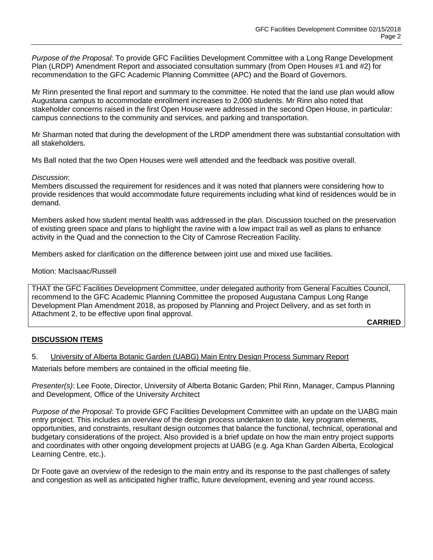*Purpose of the Proposal*: To provide GFC Facilities Development Committee with a Long Range Development Plan (LRDP) Amendment Report and associated consultation summary (from Open Houses #1 and #2) for recommendation to the GFC Academic Planning Committee (APC) and the Board of Governors.

Mr Rinn presented the final report and summary to the committee. He noted that the land use plan would allow Augustana campus to accommodate enrollment increases to 2,000 students. Mr Rinn also noted that stakeholder concerns raised in the first Open House were addressed in the second Open House, in particular: campus connections to the community and services, and parking and transportation.

Mr Sharman noted that during the development of the LRDP amendment there was substantial consultation with all stakeholders.

Ms Ball noted that the two Open Houses were well attended and the feedback was positive overall.

#### *Discussion*:

Members discussed the requirement for residences and it was noted that planners were considering how to provide residences that would accommodate future requirements including what kind of residences would be in demand.

Members asked how student mental health was addressed in the plan. Discussion touched on the preservation of existing green space and plans to highlight the ravine with a low impact trail as well as plans to enhance activity in the Quad and the connection to the City of Camrose Recreation Facility.

Members asked for clarification on the difference between joint use and mixed use facilities.

#### Motion: MacIsaac/Russell

THAT the GFC Facilities Development Committee, under delegated authority from General Faculties Council, recommend to the GFC Academic Planning Committee the proposed Augustana Campus Long Range Development Plan Amendment 2018, as proposed by Planning and Project Delivery, and as set forth in Attachment 2, to be effective upon final approval.

**CARRIED**

#### **DISCUSSION ITEMS**

#### 5. University of Alberta Botanic Garden (UABG) Main Entry Design Process Summary Report

Materials before members are contained in the official meeting file.

*Presenter(s)*: Lee Foote, Director, University of Alberta Botanic Garden; Phil Rinn, Manager, Campus Planning and Development, Office of the University Architect

*Purpose of the Proposal*: To provide GFC Facilities Development Committee with an update on the UABG main entry project. This includes an overview of the design process undertaken to date, key program elements, opportunities, and constraints, resultant design outcomes that balance the functional, technical, operational and budgetary considerations of the project. Also provided is a brief update on how the main entry project supports and coordinates with other ongoing development projects at UABG (e.g. Aga Khan Garden Alberta, Ecological Learning Centre, etc.).

Dr Foote gave an overview of the redesign to the main entry and its response to the past challenges of safety and congestion as well as anticipated higher traffic, future development, evening and year round access.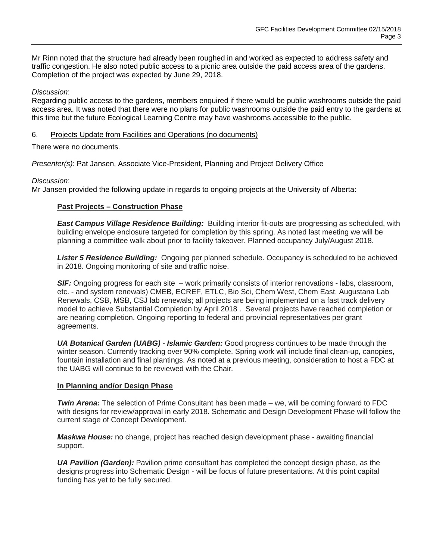Mr Rinn noted that the structure had already been roughed in and worked as expected to address safety and traffic congestion. He also noted public access to a picnic area outside the paid access area of the gardens. Completion of the project was expected by June 29, 2018.

### *Discussion*:

Regarding public access to the gardens, members enquired if there would be public washrooms outside the paid access area. It was noted that there were no plans for public washrooms outside the paid entry to the gardens at this time but the future Ecological Learning Centre may have washrooms accessible to the public.

### 6. Projects Update from Facilities and Operations (no documents)

There were no documents.

*Presenter(s)*: Pat Jansen, Associate Vice-President, Planning and Project Delivery Office

### *Discussion*:

Mr Jansen provided the following update in regards to ongoing projects at the University of Alberta:

## **Past Projects – Construction Phase**

*East Campus Village Residence Building:* Building interior fit-outs are progressing as scheduled, with building envelope enclosure targeted for completion by this spring. As noted last meeting we will be planning a committee walk about prior to facility takeover. Planned occupancy July/August 2018.

*Lister 5 Residence Building:* Ongoing per planned schedule. Occupancy is scheduled to be achieved in 2018. Ongoing monitoring of site and traffic noise.

**SIF:** Ongoing progress for each site – work primarily consists of interior renovations - labs, classroom, etc. - and system renewals) CMEB, ECREF, ETLC, Bio Sci, Chem West, Chem East, Augustana Lab Renewals, CSB, MSB, CSJ lab renewals; all projects are being implemented on a fast track delivery model to achieve Substantial Completion by April 2018 . Several projects have reached completion or are nearing completion. Ongoing reporting to federal and provincial representatives per grant agreements.

*UA Botanical Garden (UABG) - Islamic Garden:* Good progress continues to be made through the winter season. Currently tracking over 90% complete. Spring work will include final clean-up, canopies, fountain installation and final plantings. As noted at a previous meeting, consideration to host a FDC at the UABG will continue to be reviewed with the Chair.

#### **In Planning and/or Design Phase**

*Twin Arena:* The selection of Prime Consultant has been made – we, will be coming forward to FDC with designs for review/approval in early 2018. Schematic and Design Development Phase will follow the current stage of Concept Development.

*Maskwa House:* no change, project has reached design development phase - awaiting financial support.

*UA Pavilion (Garden):* Pavilion prime consultant has completed the concept design phase, as the designs progress into Schematic Design - will be focus of future presentations. At this point capital funding has yet to be fully secured.